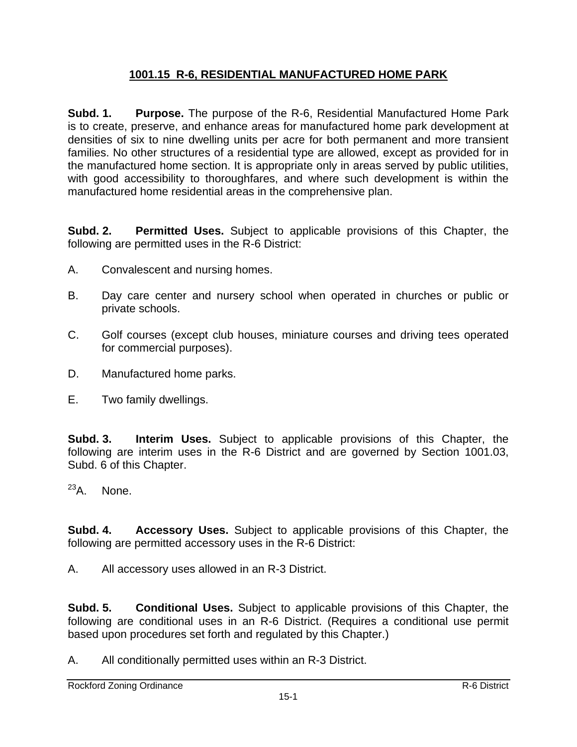## **1001.15 R-6, RESIDENTIAL MANUFACTURED HOME PARK**

**Subd. 1. Purpose.** The purpose of the R-6, Residential Manufactured Home Park is to create, preserve, and enhance areas for manufactured home park development at densities of six to nine dwelling units per acre for both permanent and more transient families. No other structures of a residential type are allowed, except as provided for in the manufactured home section. It is appropriate only in areas served by public utilities, with good accessibility to thoroughfares, and where such development is within the manufactured home residential areas in the comprehensive plan.

**Subd. 2. Permitted Uses.** Subject to applicable provisions of this Chapter, the following are permitted uses in the R-6 District:

- A. Convalescent and nursing homes.
- B. Day care center and nursery school when operated in churches or public or private schools.
- C. Golf courses (except club houses, miniature courses and driving tees operated for commercial purposes).
- D. Manufactured home parks.
- E. Two family dwellings.

**Subd. 3. Interim Uses.** Subject to applicable provisions of this Chapter, the following are interim uses in the R-6 District and are governed by Section 1001.03, Subd. 6 of this Chapter.

23A. None.

**Subd. 4. Accessory Uses.** Subject to applicable provisions of this Chapter, the following are permitted accessory uses in the R-6 District:

A. All accessory uses allowed in an R-3 District.

**Subd. 5. Conditional Uses.** Subject to applicable provisions of this Chapter, the following are conditional uses in an R-6 District. (Requires a conditional use permit based upon procedures set forth and regulated by this Chapter.)

A. All conditionally permitted uses within an R-3 District.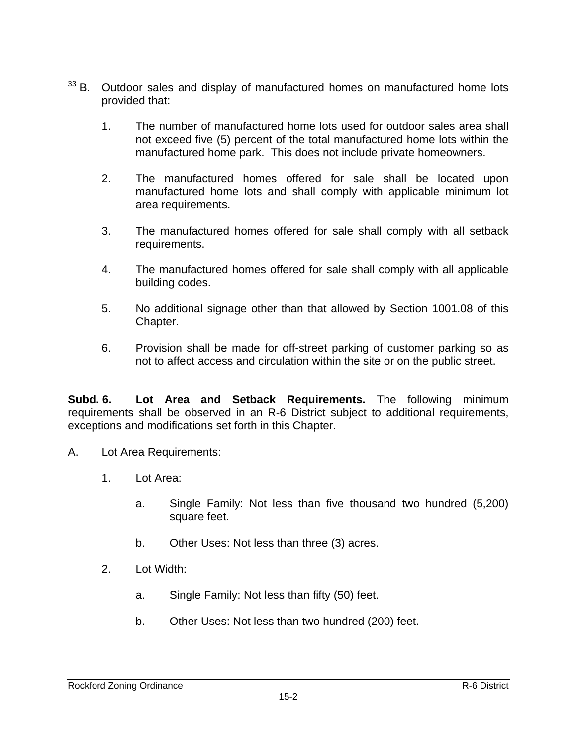- <sup>33</sup> B. Outdoor sales and display of manufactured homes on manufactured home lots provided that:
	- 1. The number of manufactured home lots used for outdoor sales area shall not exceed five (5) percent of the total manufactured home lots within the manufactured home park. This does not include private homeowners.
	- 2. The manufactured homes offered for sale shall be located upon manufactured home lots and shall comply with applicable minimum lot area requirements.
	- 3. The manufactured homes offered for sale shall comply with all setback requirements.
	- 4. The manufactured homes offered for sale shall comply with all applicable building codes.
	- 5. No additional signage other than that allowed by Section 1001.08 of this Chapter.
	- 6. Provision shall be made for off-street parking of customer parking so as not to affect access and circulation within the site or on the public street.

**Subd. 6. Lot Area and Setback Requirements.** The following minimum requirements shall be observed in an R-6 District subject to additional requirements, exceptions and modifications set forth in this Chapter.

- A. Lot Area Requirements:
	- 1. Lot Area:
		- a. Single Family: Not less than five thousand two hundred (5,200) square feet.
		- b. Other Uses: Not less than three (3) acres.
	- 2. Lot Width:
		- a. Single Family: Not less than fifty (50) feet.
		- b. Other Uses: Not less than two hundred (200) feet.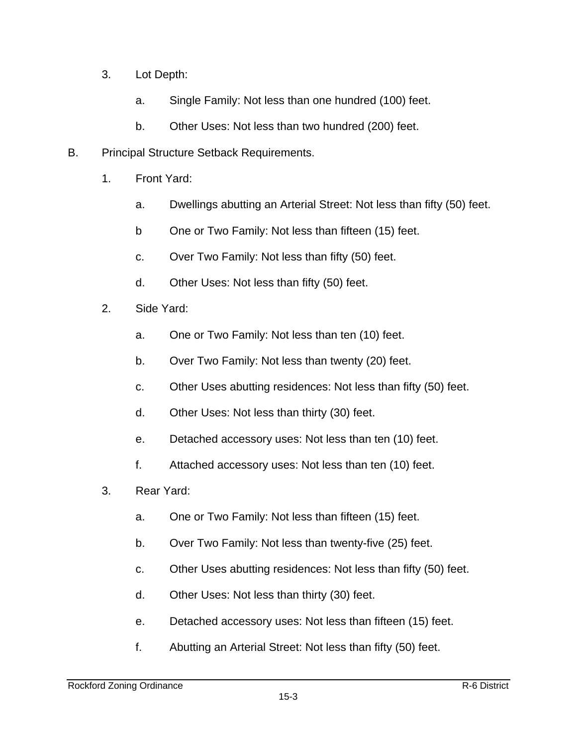- 3. Lot Depth:
	- a. Single Family: Not less than one hundred (100) feet.
	- b. Other Uses: Not less than two hundred (200) feet.
- B. Principal Structure Setback Requirements.
	- 1. Front Yard:
		- a. Dwellings abutting an Arterial Street: Not less than fifty (50) feet.
		- b One or Two Family: Not less than fifteen (15) feet.
		- c. Over Two Family: Not less than fifty (50) feet.
		- d. Other Uses: Not less than fifty (50) feet.
	- 2. Side Yard:
		- a. One or Two Family: Not less than ten (10) feet.
		- b. Over Two Family: Not less than twenty (20) feet.
		- c. Other Uses abutting residences: Not less than fifty (50) feet.
		- d. Other Uses: Not less than thirty (30) feet.
		- e. Detached accessory uses: Not less than ten (10) feet.
		- f. Attached accessory uses: Not less than ten (10) feet.
	- 3. Rear Yard:
		- a. One or Two Family: Not less than fifteen (15) feet.
		- b. Over Two Family: Not less than twenty-five (25) feet.
		- c. Other Uses abutting residences: Not less than fifty (50) feet.
		- d. Other Uses: Not less than thirty (30) feet.
		- e. Detached accessory uses: Not less than fifteen (15) feet.
		- f. Abutting an Arterial Street: Not less than fifty (50) feet.